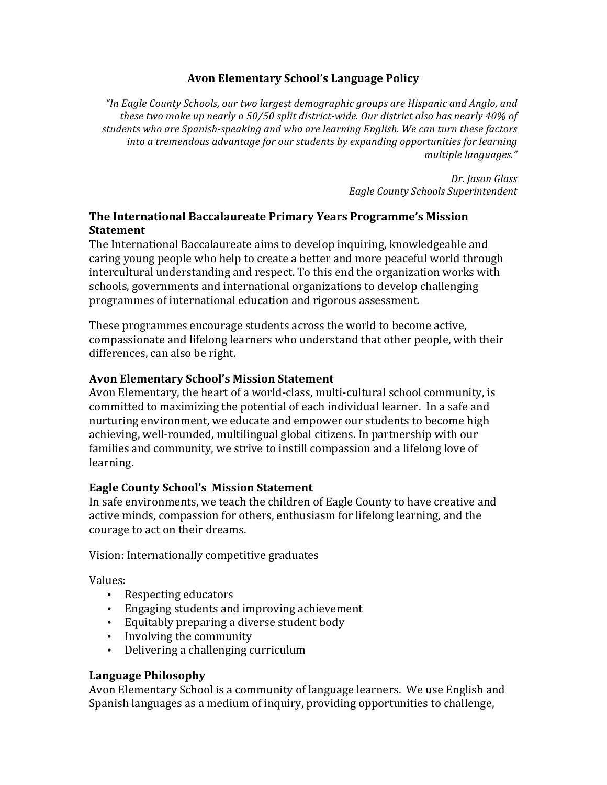### **Avon Elementary School's Language Policy**

"In Eagle County Schools, our two largest demographic groups are Hispanic and Anglo, and these two make up nearly a 50/50 split district-wide. Our district also has nearly 40% of students who are Spanish-speaking and who are learning English. We can turn these factors into a tremendous advantage for our students by expanding opportunities for learning *multiple languages."*

> *Dr. Jason Glass Eagle County Schools Superintendent*

# **The International Baccalaureate Primary Years Programme's Mission Statement**

The International Baccalaureate aims to develop inquiring, knowledgeable and caring young people who help to create a better and more peaceful world through intercultural understanding and respect. To this end the organization works with schools, governments and international organizations to develop challenging programmes of international education and rigorous assessment.

These programmes encourage students across the world to become active, compassionate and lifelong learners who understand that other people, with their differences, can also be right.

### **Avon Elementary School's Mission Statement**

Avon Elementary, the heart of a world-class, multi-cultural school community, is committed to maximizing the potential of each individual learner. In a safe and nurturing environment, we educate and empower our students to become high achieving, well-rounded, multilingual global citizens. In partnership with our families and community, we strive to instill compassion and a lifelong love of learning.

### **Eagle County School's Mission Statement**

In safe environments, we teach the children of Eagle County to have creative and active minds, compassion for others, enthusiasm for lifelong learning, and the courage to act on their dreams.

Vision: Internationally competitive graduates

Values: 

- Respecting educators
- Engaging students and improving achievement
- Equitably preparing a diverse student body
- Involving the community
- Delivering a challenging curriculum

# **Language Philosophy**

Avon Elementary School is a community of language learners. We use English and Spanish languages as a medium of inquiry, providing opportunities to challenge,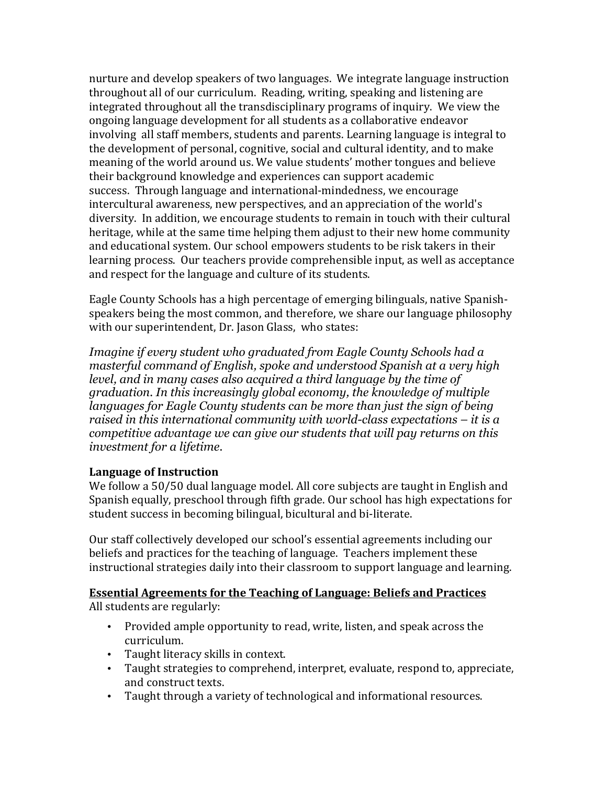nurture and develop speakers of two languages. We integrate language instruction throughout all of our curriculum. Reading, writing, speaking and listening are integrated throughout all the transdisciplinary programs of inquiry. We view the ongoing language development for all students as a collaborative endeavor involving all staff members, students and parents. Learning language is integral to the development of personal, cognitive, social and cultural identity, and to make meaning of the world around us. We value students' mother tongues and believe their background knowledge and experiences can support academic success. Through language and international-mindedness, we encourage intercultural awareness, new perspectives, and an appreciation of the world's diversity. In addition, we encourage students to remain in touch with their cultural heritage, while at the same time helping them adjust to their new home community and educational system. Our school empowers students to be risk takers in their learning process. Our teachers provide comprehensible input, as well as acceptance and respect for the language and culture of its students.

Eagle County Schools has a high percentage of emerging bilinguals, native Spanishspeakers being the most common, and therefore, we share our language philosophy with our superintendent, Dr. Jason Glass, who states:

*Imagine if every student who graduated from Eagle County Schools had a masterful command of English, spoke and understood Spanish at a very high level, and in many cases also acquired a third language by the time of graduation. In this increasingly global economy, the knowledge of multiple languages for Eagle County students can be more than just the sign of being raised in this international community with world-class expectations – it is a competitive advantage we can give our students that will pay returns on this investment for a lifetime.* 

### **Language of Instruction**

We follow a 50/50 dual language model. All core subjects are taught in English and Spanish equally, preschool through fifth grade. Our school has high expectations for student success in becoming bilingual, bicultural and bi-literate.

Our staff collectively developed our school's essential agreements including our beliefs and practices for the teaching of language. Teachers implement these instructional strategies daily into their classroom to support language and learning.

### **Essential Agreements for the Teaching of Language: Beliefs and Practices**

All students are regularly:

- Provided ample opportunity to read, write, listen, and speak across the curriculum.
- Taught literacy skills in context.
- Taught strategies to comprehend, interpret, evaluate, respond to, appreciate, and construct texts.
- Taught through a variety of technological and informational resources.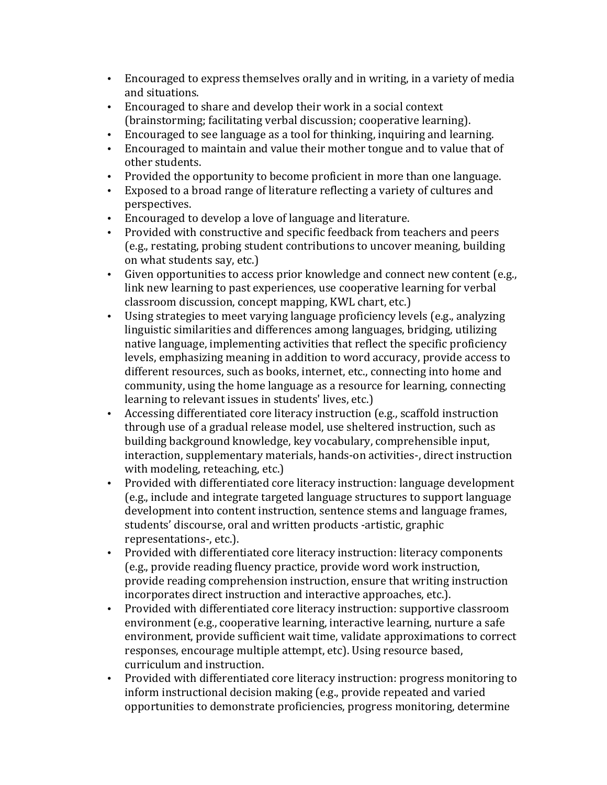- Encouraged to express themselves orally and in writing, in a variety of media and situations.
- Encouraged to share and develop their work in a social context (brainstorming; facilitating verbal discussion; cooperative learning).
- Encouraged to see language as a tool for thinking, inquiring and learning.
- Encouraged to maintain and value their mother tongue and to value that of other students.
- Provided the opportunity to become proficient in more than one language.
- Exposed to a broad range of literature reflecting a variety of cultures and perspectives.
- Encouraged to develop a love of language and literature.
- Provided with constructive and specific feedback from teachers and peers (e.g., restating, probing student contributions to uncover meaning, building on what students say, etc.)
- Given opportunities to access prior knowledge and connect new content (e.g., link new learning to past experiences, use cooperative learning for verbal classroom discussion, concept mapping, KWL chart, etc.)
- Using strategies to meet varying language proficiency levels (e.g., analyzing linguistic similarities and differences among languages, bridging, utilizing native language, implementing activities that reflect the specific proficiency levels, emphasizing meaning in addition to word accuracy, provide access to different resources, such as books, internet, etc., connecting into home and community, using the home language as a resource for learning, connecting learning to relevant issues in students' lives, etc.)
- Accessing differentiated core literacy instruction (e.g., scaffold instruction through use of a gradual release model, use sheltered instruction, such as building background knowledge, key vocabulary, comprehensible input, interaction, supplementary materials, hands-on activities-, direct instruction with modeling, reteaching, etc.)
- Provided with differentiated core literacy instruction: language development (e.g., include and integrate targeted language structures to support language development into content instruction, sentence stems and language frames, students' discourse, oral and written products -artistic, graphic representations-, etc.).
- Provided with differentiated core literacy instruction: literacy components (e.g., provide reading fluency practice, provide word work instruction, provide reading comprehension instruction, ensure that writing instruction incorporates direct instruction and interactive approaches, etc.).
- Provided with differentiated core literacy instruction: supportive classroom environment (e.g., cooperative learning, interactive learning, nurture a safe environment, provide sufficient wait time, validate approximations to correct responses, encourage multiple attempt, etc). Using resource based, curriculum and instruction.
- Provided with differentiated core literacy instruction: progress monitoring to inform instructional decision making (e.g., provide repeated and varied opportunities to demonstrate proficiencies, progress monitoring, determine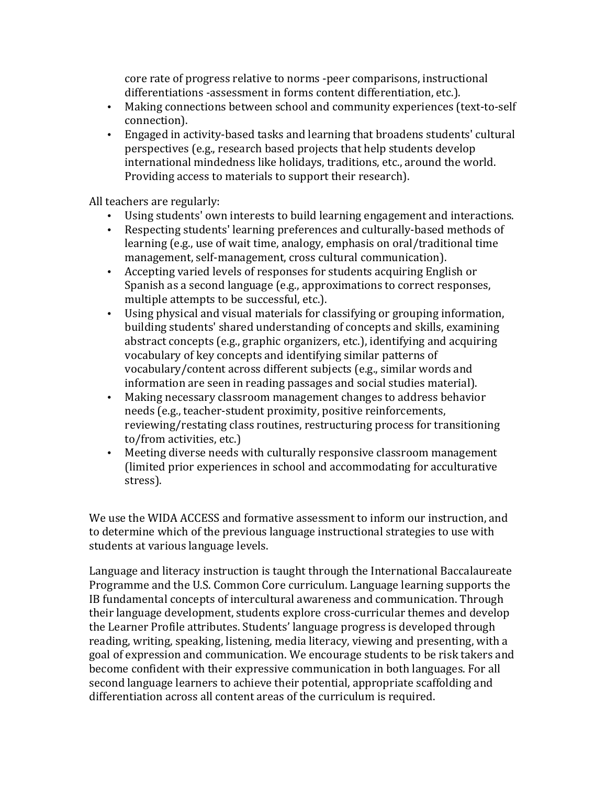core rate of progress relative to norms -peer comparisons, instructional differentiations -assessment in forms content differentiation, etc.).

- Making connections between school and community experiences (text-to-self connection).
- Engaged in activity-based tasks and learning that broadens students' cultural perspectives (e.g., research based projects that help students develop international mindedness like holidays, traditions, etc., around the world. Providing access to materials to support their research).

All teachers are regularly:

- Using students' own interests to build learning engagement and interactions.
- Respecting students' learning preferences and culturally-based methods of learning (e.g., use of wait time, analogy, emphasis on oral/traditional time management, self-management, cross cultural communication).
- Accepting varied levels of responses for students acquiring English or Spanish as a second language (e.g., approximations to correct responses, multiple attempts to be successful, etc.).
- Using physical and visual materials for classifying or grouping information, building students' shared understanding of concepts and skills, examining abstract concepts (e.g., graphic organizers, etc.), identifying and acquiring vocabulary of key concepts and identifying similar patterns of vocabulary/content across different subjects (e.g., similar words and information are seen in reading passages and social studies material).
- Making necessary classroom management changes to address behavior needs (e.g., teacher-student proximity, positive reinforcements, reviewing/restating class routines, restructuring process for transitioning to/from activities, etc.)
- Meeting diverse needs with culturally responsive classroom management (limited prior experiences in school and accommodating for acculturative stress).

We use the WIDA ACCESS and formative assessment to inform our instruction, and to determine which of the previous language instructional strategies to use with students at various language levels.

Language and literacy instruction is taught through the International Baccalaureate Programme and the U.S. Common Core curriculum. Language learning supports the IB fundamental concepts of intercultural awareness and communication. Through their language development, students explore cross-curricular themes and develop the Learner Profile attributes. Students' language progress is developed through reading, writing, speaking, listening, media literacy, viewing and presenting, with a goal of expression and communication. We encourage students to be risk takers and become confident with their expressive communication in both languages. For all second language learners to achieve their potential, appropriate scaffolding and differentiation across all content areas of the curriculum is required.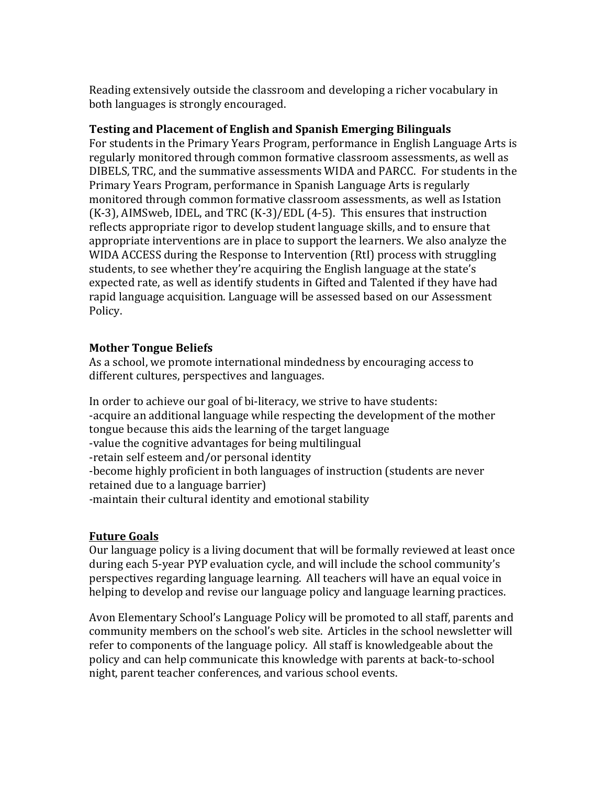Reading extensively outside the classroom and developing a richer vocabulary in both languages is strongly encouraged.

### **Testing and Placement of English and Spanish Emerging Bilinguals**

For students in the Primary Years Program, performance in English Language Arts is regularly monitored through common formative classroom assessments, as well as DIBELS, TRC, and the summative assessments WIDA and PARCC. For students in the Primary Years Program, performance in Spanish Language Arts is regularly monitored through common formative classroom assessments, as well as Istation  $(K-3)$ , AIMSweb, IDEL, and TRC  $(K-3)/EDL(4-5)$ . This ensures that instruction reflects appropriate rigor to develop student language skills, and to ensure that appropriate interventions are in place to support the learners. We also analyze the WIDA ACCESS during the Response to Intervention (RtI) process with struggling students, to see whether they're acquiring the English language at the state's expected rate, as well as identify students in Gifted and Talented if they have had rapid language acquisition. Language will be assessed based on our Assessment Policy.

### **Mother Tongue Beliefs**

As a school, we promote international mindedness by encouraging access to different cultures, perspectives and languages.

In order to achieve our goal of bi-literacy, we strive to have students: -acquire an additional language while respecting the development of the mother tongue because this aids the learning of the target language -value the cognitive advantages for being multilingual -retain self esteem and/or personal identity -become highly proficient in both languages of instruction (students are never retained due to a language barrier) -maintain their cultural identity and emotional stability

### **Future Goals**

Our language policy is a living document that will be formally reviewed at least once during each 5-year PYP evaluation cycle, and will include the school community's perspectives regarding language learning. All teachers will have an equal voice in helping to develop and revise our language policy and language learning practices.

Avon Elementary School's Language Policy will be promoted to all staff, parents and community members on the school's web site. Articles in the school newsletter will refer to components of the language policy. All staff is knowledgeable about the policy and can help communicate this knowledge with parents at back-to-school night, parent teacher conferences, and various school events.